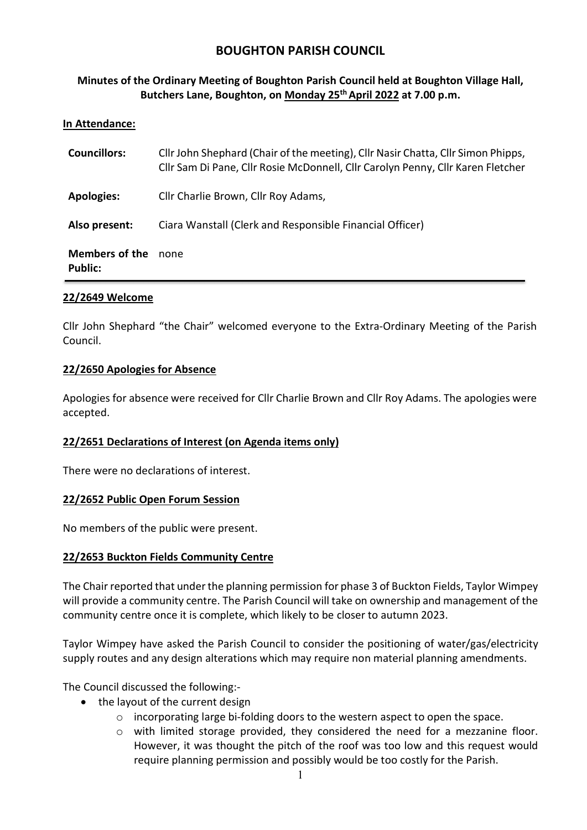# BOUGHTON PARISH COUNCIL

# Minutes of the Ordinary Meeting of Boughton Parish Council held at Boughton Village Hall, Butchers Lane, Boughton, on Monday 25<sup>th</sup> April 2022 at 7.00 p.m.

### In Attendance:

| <b>Councillors:</b>              | Cllr John Shephard (Chair of the meeting), Cllr Nasir Chatta, Cllr Simon Phipps,<br>Cllr Sam Di Pane, Cllr Rosie McDonnell, Cllr Carolyn Penny, Cllr Karen Fletcher |
|----------------------------------|---------------------------------------------------------------------------------------------------------------------------------------------------------------------|
| <b>Apologies:</b>                | Cllr Charlie Brown, Cllr Roy Adams,                                                                                                                                 |
| Also present:                    | Ciara Wanstall (Clerk and Responsible Financial Officer)                                                                                                            |
| <b>Members of the</b><br>Public: | none                                                                                                                                                                |

### 22/2649 Welcome

Cllr John Shephard "the Chair" welcomed everyone to the Extra-Ordinary Meeting of the Parish Council.

#### 22/2650 Apologies for Absence

Apologies for absence were received for Cllr Charlie Brown and Cllr Roy Adams. The apologies were accepted.

#### 22/2651 Declarations of Interest (on Agenda items only)

There were no declarations of interest.

#### 22/2652 Public Open Forum Session

No members of the public were present.

#### 22/2653 Buckton Fields Community Centre

The Chair reported that under the planning permission for phase 3 of Buckton Fields, Taylor Wimpey will provide a community centre. The Parish Council will take on ownership and management of the community centre once it is complete, which likely to be closer to autumn 2023.

Taylor Wimpey have asked the Parish Council to consider the positioning of water/gas/electricity supply routes and any design alterations which may require non material planning amendments.

The Council discussed the following:-

- the layout of the current design
	- o incorporating large bi-folding doors to the western aspect to open the space.
	- o with limited storage provided, they considered the need for a mezzanine floor. However, it was thought the pitch of the roof was too low and this request would require planning permission and possibly would be too costly for the Parish.